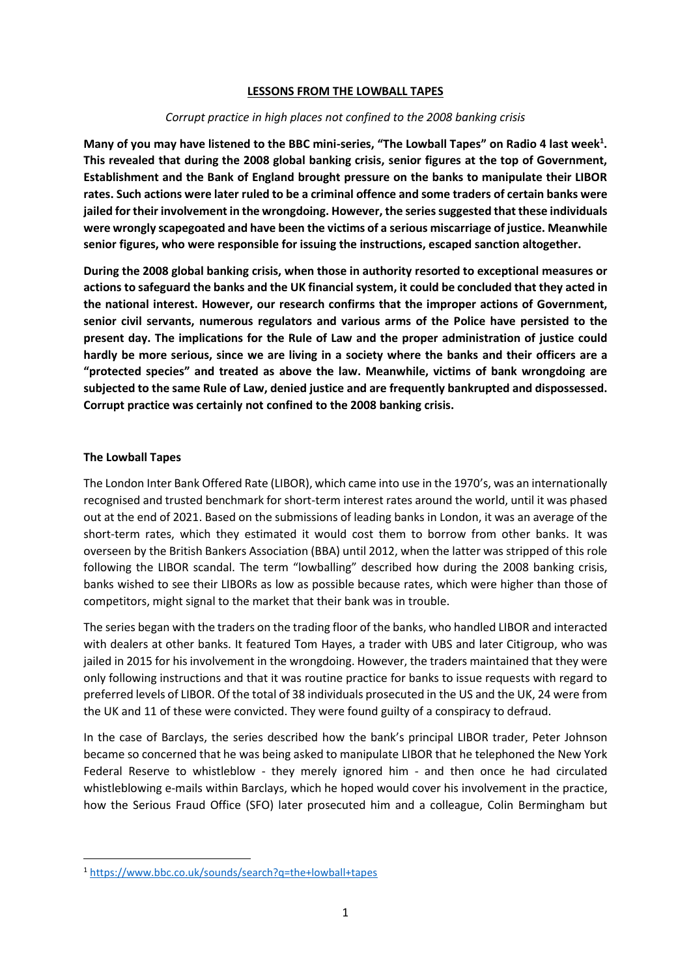#### **LESSONS FROM THE LOWBALL TAPES**

#### *Corrupt practice in high places not confined to the 2008 banking crisis*

**Many of you may have listened to the BBC mini-series, "The Lowball Tapes" on Radio 4 last week<sup>1</sup> . This revealed that during the 2008 global banking crisis, senior figures at the top of Government, Establishment and the Bank of England brought pressure on the banks to manipulate their LIBOR rates. Such actions were later ruled to be a criminal offence and some traders of certain banks were jailed for their involvement in the wrongdoing. However, the series suggested that these individuals were wrongly scapegoated and have been the victims of a serious miscarriage of justice. Meanwhile senior figures, who were responsible for issuing the instructions, escaped sanction altogether.**

**During the 2008 global banking crisis, when those in authority resorted to exceptional measures or actions to safeguard the banks and the UK financial system, it could be concluded that they acted in the national interest. However, our research confirms that the improper actions of Government, senior civil servants, numerous regulators and various arms of the Police have persisted to the present day. The implications for the Rule of Law and the proper administration of justice could hardly be more serious, since we are living in a society where the banks and their officers are a "protected species" and treated as above the law. Meanwhile, victims of bank wrongdoing are subjected to the same Rule of Law, denied justice and are frequently bankrupted and dispossessed. Corrupt practice was certainly not confined to the 2008 banking crisis.**

## **The Lowball Tapes**

The London Inter Bank Offered Rate (LIBOR), which came into use in the 1970's, was an internationally recognised and trusted benchmark for short-term interest rates around the world, until it was phased out at the end of 2021. Based on the submissions of leading banks in London, it was an average of the short-term rates, which they estimated it would cost them to borrow from other banks. It was overseen by the British Bankers Association (BBA) until 2012, when the latter was stripped of this role following the LIBOR scandal. The term "lowballing" described how during the 2008 banking crisis, banks wished to see their LIBORs as low as possible because rates, which were higher than those of competitors, might signal to the market that their bank was in trouble.

The series began with the traders on the trading floor of the banks, who handled LIBOR and interacted with dealers at other banks. It featured Tom Hayes, a trader with UBS and later Citigroup, who was jailed in 2015 for his involvement in the wrongdoing. However, the traders maintained that they were only following instructions and that it was routine practice for banks to issue requests with regard to preferred levels of LIBOR. Of the total of 38 individuals prosecuted in the US and the UK, 24 were from the UK and 11 of these were convicted. They were found guilty of a conspiracy to defraud.

In the case of Barclays, the series described how the bank's principal LIBOR trader, Peter Johnson became so concerned that he was being asked to manipulate LIBOR that he telephoned the New York Federal Reserve to whistleblow - they merely ignored him - and then once he had circulated whistleblowing e-mails within Barclays, which he hoped would cover his involvement in the practice, how the Serious Fraud Office (SFO) later prosecuted him and a colleague, Colin Bermingham but

<sup>1</sup> <https://www.bbc.co.uk/sounds/search?q=the+lowball+tapes>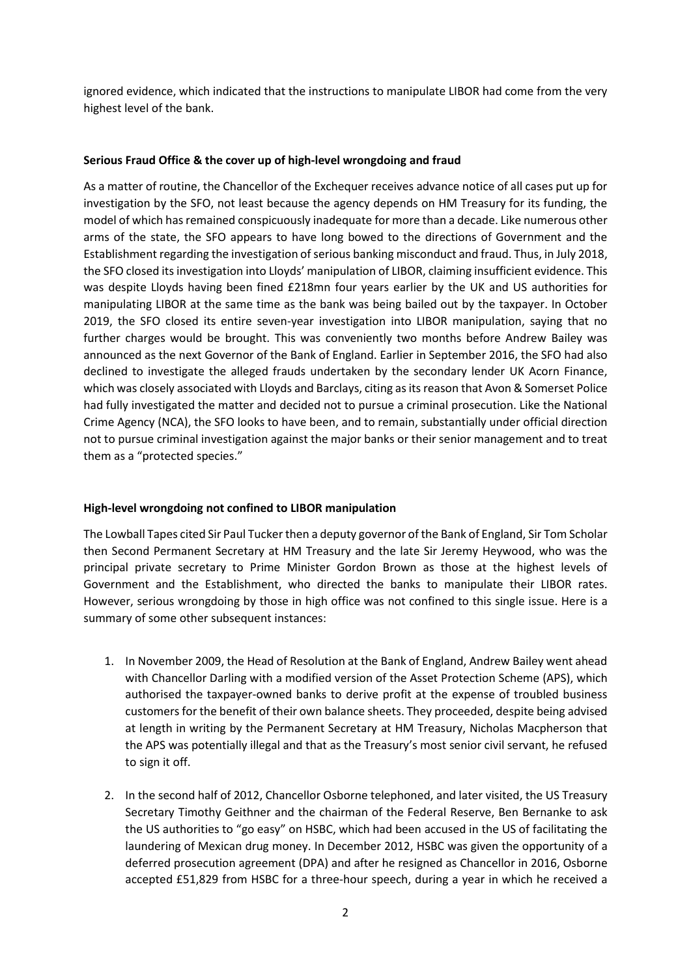ignored evidence, which indicated that the instructions to manipulate LIBOR had come from the very highest level of the bank.

# **Serious Fraud Office & the cover up of high-level wrongdoing and fraud**

As a matter of routine, the Chancellor of the Exchequer receives advance notice of all cases put up for investigation by the SFO, not least because the agency depends on HM Treasury for its funding, the model of which has remained conspicuously inadequate for more than a decade. Like numerous other arms of the state, the SFO appears to have long bowed to the directions of Government and the Establishment regarding the investigation of serious banking misconduct and fraud. Thus, in July 2018, the SFO closed its investigation into Lloyds' manipulation of LIBOR, claiming insufficient evidence. This was despite Lloyds having been fined £218mn four years earlier by the UK and US authorities for manipulating LIBOR at the same time as the bank was being bailed out by the taxpayer. In October 2019, the SFO closed its entire seven-year investigation into LIBOR manipulation, saying that no further charges would be brought. This was conveniently two months before Andrew Bailey was announced as the next Governor of the Bank of England. Earlier in September 2016, the SFO had also declined to investigate the alleged frauds undertaken by the secondary lender UK Acorn Finance, which was closely associated with Lloyds and Barclays, citing as its reason that Avon & Somerset Police had fully investigated the matter and decided not to pursue a criminal prosecution. Like the National Crime Agency (NCA), the SFO looks to have been, and to remain, substantially under official direction not to pursue criminal investigation against the major banks or their senior management and to treat them as a "protected species."

## **High-level wrongdoing not confined to LIBOR manipulation**

The Lowball Tapes cited Sir Paul Tucker then a deputy governor of the Bank of England, Sir Tom Scholar then Second Permanent Secretary at HM Treasury and the late Sir Jeremy Heywood, who was the principal private secretary to Prime Minister Gordon Brown as those at the highest levels of Government and the Establishment, who directed the banks to manipulate their LIBOR rates. However, serious wrongdoing by those in high office was not confined to this single issue. Here is a summary of some other subsequent instances:

- 1. In November 2009, the Head of Resolution at the Bank of England, Andrew Bailey went ahead with Chancellor Darling with a modified version of the Asset Protection Scheme (APS), which authorised the taxpayer-owned banks to derive profit at the expense of troubled business customers for the benefit of their own balance sheets. They proceeded, despite being advised at length in writing by the Permanent Secretary at HM Treasury, Nicholas Macpherson that the APS was potentially illegal and that as the Treasury's most senior civil servant, he refused to sign it off.
- 2. In the second half of 2012, Chancellor Osborne telephoned, and later visited, the US Treasury Secretary Timothy Geithner and the chairman of the Federal Reserve, Ben Bernanke to ask the US authorities to "go easy" on HSBC, which had been accused in the US of facilitating the laundering of Mexican drug money. In December 2012, HSBC was given the opportunity of a deferred prosecution agreement (DPA) and after he resigned as Chancellor in 2016, Osborne accepted £51,829 from HSBC for a three-hour speech, during a year in which he received a